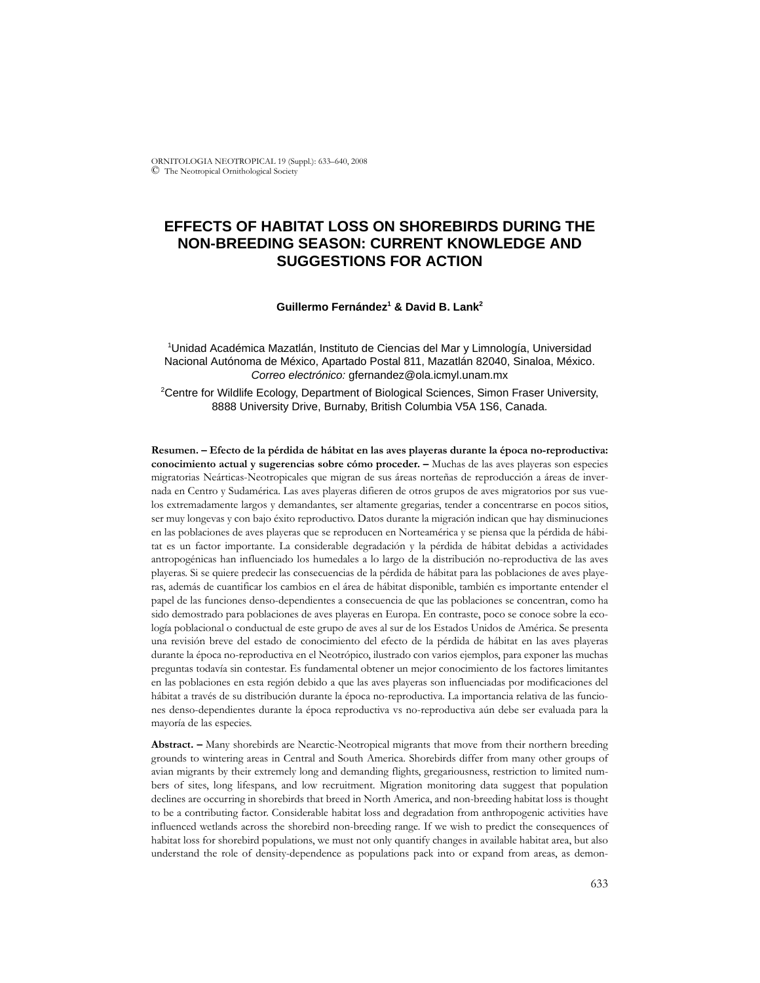ORNITOLOGIA NEOTROPICAL 19 (Suppl.): 633–640, 2008 © The Neotropical Ornithological Society

# **EFFECTS OF HABITAT LOSS ON SHOREBIRDS DURING THE NON-BREEDING SEASON: CURRENT KNOWLEDGE AND SUGGESTIONS FOR ACTION**

#### **Guillermo Fernández1 & David B. Lank2**

1 Unidad Académica Mazatlán, Instituto de Ciencias del Mar y Limnología, Universidad Nacional Autónoma de México, Apartado Postal 811, Mazatlán 82040, Sinaloa, México. *Correo electrónico:* gfernandez@ola.icmyl.unam.mx

2 Centre for Wildlife Ecology, Department of Biological Sciences, Simon Fraser University, 8888 University Drive, Burnaby, British Columbia V5A 1S6, Canada.

**Resumen. – Efecto de la pérdida de hábitat en las aves playeras durante la época no-reproductiva: conocimiento actual y sugerencias sobre cómo proceder. –** Muchas de las aves playeras son especies migratorias Neárticas-Neotropicales que migran de sus áreas norteñas de reproducción a áreas de invernada en Centro y Sudamérica. Las aves playeras difieren de otros grupos de aves migratorios por sus vuelos extremadamente largos y demandantes, ser altamente gregarias, tender a concentrarse en pocos sitios, ser muy longevas y con bajo éxito reproductivo. Datos durante la migración indican que hay disminuciones en las poblaciones de aves playeras que se reproducen en Norteamérica y se piensa que la pérdida de hábitat es un factor importante. La considerable degradación y la pérdida de hábitat debidas a actividades antropogénicas han influenciado los humedales a lo largo de la distribución no-reproductiva de las aves playeras. Si se quiere predecir las consecuencias de la pérdida de hábitat para las poblaciones de aves playeras, además de cuantificar los cambios en el área de hábitat disponible, también es importante entender el papel de las funciones denso-dependientes a consecuencia de que las poblaciones se concentran, como ha sido demostrado para poblaciones de aves playeras en Europa. En contraste, poco se conoce sobre la ecología poblacional o conductual de este grupo de aves al sur de los Estados Unidos de América. Se presenta una revisión breve del estado de conocimiento del efecto de la pérdida de hábitat en las aves playeras durante la época no-reproductiva en el Neotrópico, ilustrado con varios ejemplos, para exponer las muchas preguntas todavía sin contestar. Es fundamental obtener un mejor conocimiento de los factores limitantes en las poblaciones en esta región debido a que las aves playeras son influenciadas por modificaciones del hábitat a través de su distribución durante la época no-reproductiva. La importancia relativa de las funciones denso-dependientes durante la época reproductiva vs no-reproductiva aún debe ser evaluada para la mayoría de las especies.

**Abstract. –** Many shorebirds are Nearctic-Neotropical migrants that move from their northern breeding grounds to wintering areas in Central and South America. Shorebirds differ from many other groups of avian migrants by their extremely long and demanding flights, gregariousness, restriction to limited numbers of sites, long lifespans, and low recruitment. Migration monitoring data suggest that population declines are occurring in shorebirds that breed in North America, and non-breeding habitat loss is thought to be a contributing factor. Considerable habitat loss and degradation from anthropogenic activities have influenced wetlands across the shorebird non-breeding range. If we wish to predict the consequences of habitat loss for shorebird populations, we must not only quantify changes in available habitat area, but also understand the role of density-dependence as populations pack into or expand from areas, as demon-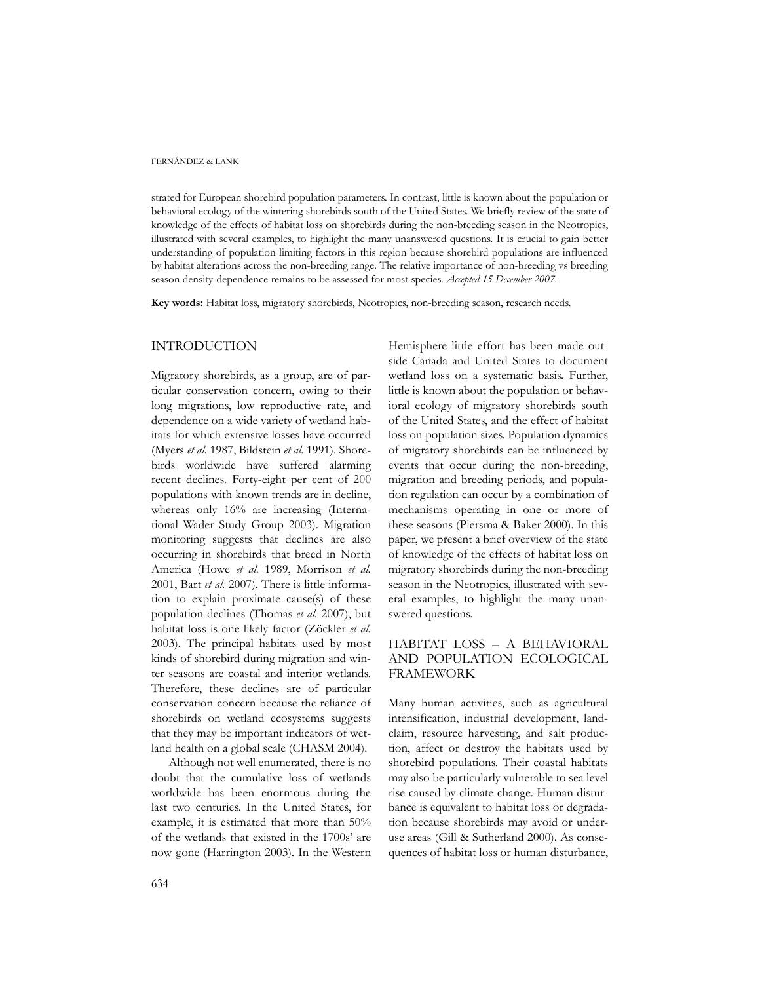#### FERNÁNDEZ & LANK

strated for European shorebird population parameters. In contrast, little is known about the population or behavioral ecology of the wintering shorebirds south of the United States. We briefly review of the state of knowledge of the effects of habitat loss on shorebirds during the non-breeding season in the Neotropics, illustrated with several examples, to highlight the many unanswered questions. It is crucial to gain better understanding of population limiting factors in this region because shorebird populations are influenced by habitat alterations across the non-breeding range. The relative importance of non-breeding vs breeding season density-dependence remains to be assessed for most species. *Accepted 15 December 2007.*

**Key words:** Habitat loss, migratory shorebirds, Neotropics, non-breeding season, research needs.

## INTRODUCTION

Migratory shorebirds, as a group, are of particular conservation concern, owing to their long migrations, low reproductive rate, and dependence on a wide variety of wetland habitats for which extensive losses have occurred (Myers *et al.* 1987, Bildstein *et al.* 1991). Shorebirds worldwide have suffered alarming recent declines. Forty-eight per cent of 200 populations with known trends are in decline, whereas only 16% are increasing (International Wader Study Group 2003). Migration monitoring suggests that declines are also occurring in shorebirds that breed in North America (Howe *et al.* 1989, Morrison *et al.* 2001, Bart *et al.* 2007). There is little information to explain proximate cause(s) of these population declines (Thomas *et al.* 2007), but habitat loss is one likely factor (Zöckler *et al.* 2003). The principal habitats used by most kinds of shorebird during migration and winter seasons are coastal and interior wetlands. Therefore, these declines are of particular conservation concern because the reliance of shorebirds on wetland ecosystems suggests that they may be important indicators of wetland health on a global scale (CHASM 2004).

Although not well enumerated, there is no doubt that the cumulative loss of wetlands worldwide has been enormous during the last two centuries. In the United States, for example, it is estimated that more than 50% of the wetlands that existed in the 1700s' are now gone (Harrington 2003). In the Western

Hemisphere little effort has been made outside Canada and United States to document wetland loss on a systematic basis. Further, little is known about the population or behavioral ecology of migratory shorebirds south of the United States, and the effect of habitat loss on population sizes. Population dynamics of migratory shorebirds can be influenced by events that occur during the non-breeding, migration and breeding periods, and population regulation can occur by a combination of mechanisms operating in one or more of these seasons (Piersma & Baker 2000). In this paper, we present a brief overview of the state of knowledge of the effects of habitat loss on migratory shorebirds during the non-breeding season in the Neotropics, illustrated with several examples, to highlight the many unanswered questions.

# HABITAT LOSS – A BEHAVIORAL AND POPULATION ECOLOGICAL FRAMEWORK

Many human activities, such as agricultural intensification, industrial development, landclaim, resource harvesting, and salt production, affect or destroy the habitats used by shorebird populations. Their coastal habitats may also be particularly vulnerable to sea level rise caused by climate change. Human disturbance is equivalent to habitat loss or degradation because shorebirds may avoid or underuse areas (Gill & Sutherland 2000). As consequences of habitat loss or human disturbance,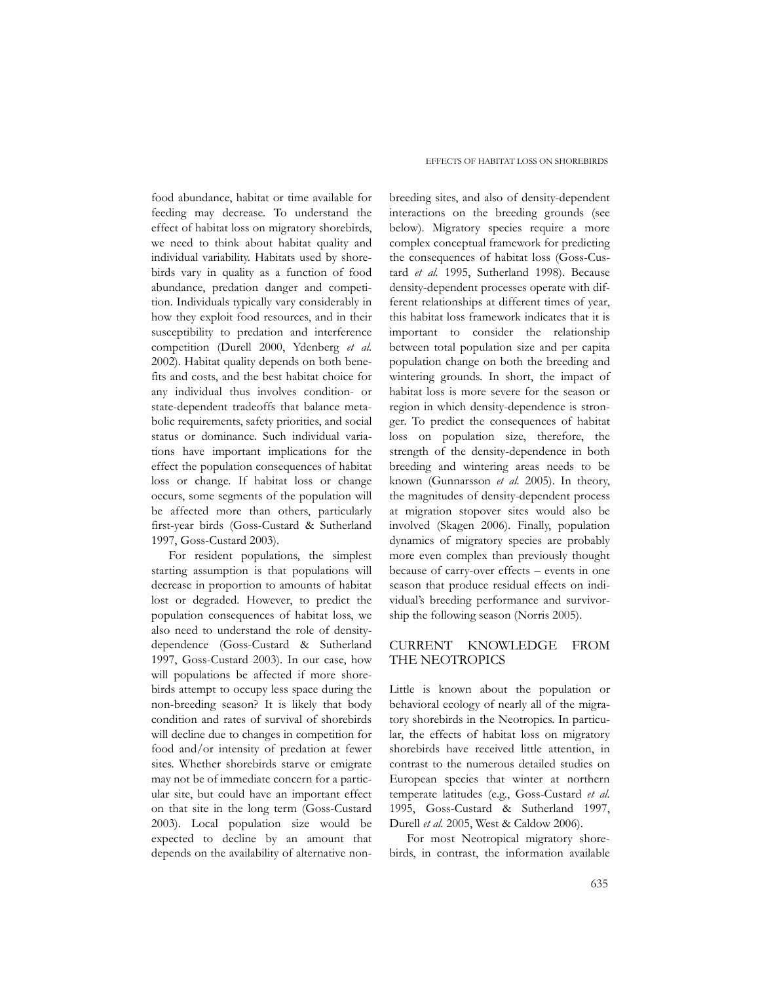food abundance, habitat or time available for feeding may decrease. To understand the effect of habitat loss on migratory shorebirds, we need to think about habitat quality and individual variability. Habitats used by shorebirds vary in quality as a function of food abundance, predation danger and competition. Individuals typically vary considerably in how they exploit food resources, and in their susceptibility to predation and interference competition (Durell 2000, Ydenberg *et al.* 2002). Habitat quality depends on both benefits and costs, and the best habitat choice for any individual thus involves condition- or state-dependent tradeoffs that balance metabolic requirements, safety priorities, and social status or dominance. Such individual variations have important implications for the effect the population consequences of habitat loss or change. If habitat loss or change occurs, some segments of the population will be affected more than others, particularly first-year birds (Goss-Custard & Sutherland 1997, Goss-Custard 2003).

For resident populations, the simplest starting assumption is that populations will decrease in proportion to amounts of habitat lost or degraded. However, to predict the population consequences of habitat loss, we also need to understand the role of densitydependence (Goss-Custard & Sutherland 1997, Goss-Custard 2003). In our case, how will populations be affected if more shorebirds attempt to occupy less space during the non-breeding season? It is likely that body condition and rates of survival of shorebirds will decline due to changes in competition for food and/or intensity of predation at fewer sites. Whether shorebirds starve or emigrate may not be of immediate concern for a particular site, but could have an important effect on that site in the long term (Goss-Custard 2003). Local population size would be expected to decline by an amount that depends on the availability of alternative non-

breeding sites, and also of density-dependent interactions on the breeding grounds (see below). Migratory species require a more complex conceptual framework for predicting the consequences of habitat loss (Goss-Custard *et al.* 1995, Sutherland 1998). Because density-dependent processes operate with different relationships at different times of year, this habitat loss framework indicates that it is important to consider the relationship between total population size and per capita population change on both the breeding and wintering grounds. In short, the impact of habitat loss is more severe for the season or region in which density-dependence is stronger. To predict the consequences of habitat loss on population size, therefore, the strength of the density-dependence in both breeding and wintering areas needs to be known (Gunnarsson *et al.* 2005). In theory, the magnitudes of density-dependent process at migration stopover sites would also be involved (Skagen 2006). Finally, population dynamics of migratory species are probably more even complex than previously thought because of carry-over effects – events in one season that produce residual effects on individual's breeding performance and survivorship the following season (Norris 2005).

# CURRENT KNOWLEDGE FROM THE NEOTROPICS

Little is known about the population or behavioral ecology of nearly all of the migratory shorebirds in the Neotropics. In particular, the effects of habitat loss on migratory shorebirds have received little attention, in contrast to the numerous detailed studies on European species that winter at northern temperate latitudes (e.g., Goss-Custard *et al.* 1995, Goss-Custard & Sutherland 1997, Durell *et al.* 2005, West & Caldow 2006).

For most Neotropical migratory shorebirds, in contrast, the information available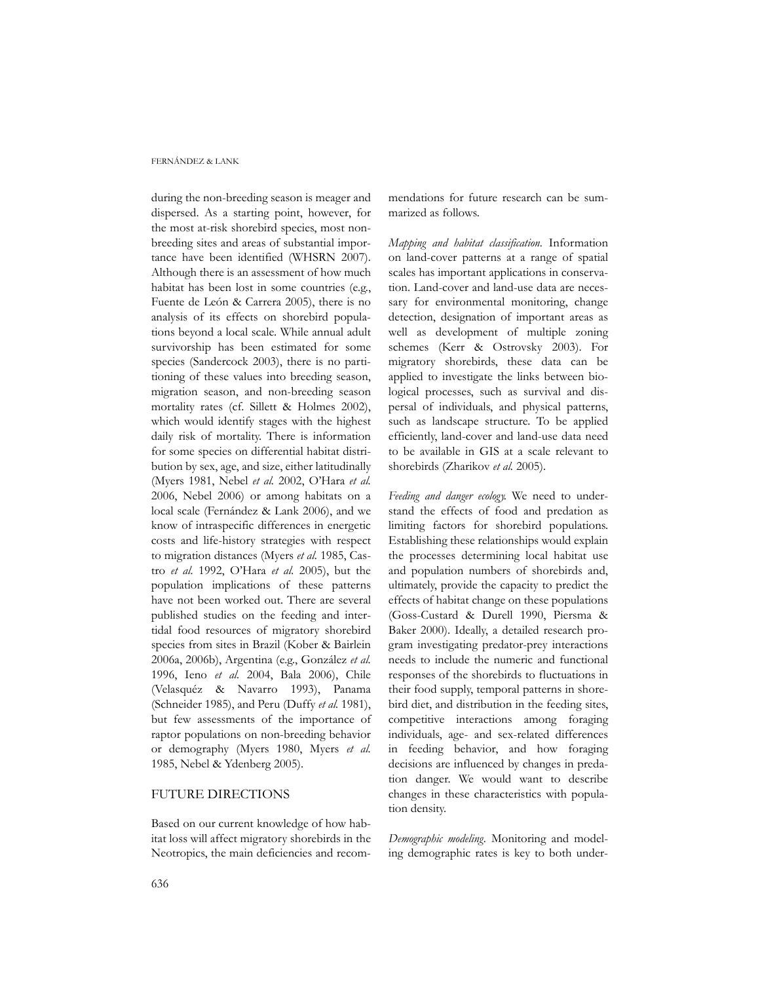#### FERNÁNDEZ & LANK

during the non-breeding season is meager and dispersed. As a starting point, however, for the most at-risk shorebird species, most nonbreeding sites and areas of substantial importance have been identified (WHSRN 2007). Although there is an assessment of how much habitat has been lost in some countries (e.g., Fuente de León & Carrera 2005), there is no analysis of its effects on shorebird populations beyond a local scale. While annual adult survivorship has been estimated for some species (Sandercock 2003), there is no partitioning of these values into breeding season, migration season, and non-breeding season mortality rates (cf. Sillett & Holmes 2002), which would identify stages with the highest daily risk of mortality. There is information for some species on differential habitat distribution by sex, age, and size, either latitudinally (Myers 1981, Nebel *et al.* 2002, O'Hara *et al.* 2006, Nebel 2006) or among habitats on a local scale (Fernández & Lank 2006), and we know of intraspecific differences in energetic costs and life-history strategies with respect to migration distances (Myers *et al.* 1985, Castro *et al.* 1992, O'Hara *et al.* 2005), but the population implications of these patterns have not been worked out. There are several published studies on the feeding and intertidal food resources of migratory shorebird species from sites in Brazil (Kober & Bairlein 2006a, 2006b), Argentina (e.g., González *et al.* 1996, Ieno *et al.* 2004, Bala 2006), Chile (Velasquéz & Navarro 1993), Panama (Schneider 1985), and Peru (Duffy *et al.* 1981), but few assessments of the importance of raptor populations on non-breeding behavior or demography (Myers 1980, Myers *et al.* 1985, Nebel & Ydenberg 2005).

# FUTURE DIRECTIONS

Based on our current knowledge of how habitat loss will affect migratory shorebirds in the Neotropics, the main deficiencies and recommendations for future research can be summarized as follows.

*Mapping and habitat classification.* Information on land-cover patterns at a range of spatial scales has important applications in conservation. Land-cover and land-use data are necessary for environmental monitoring, change detection, designation of important areas as well as development of multiple zoning schemes (Kerr & Ostrovsky 2003). For migratory shorebirds, these data can be applied to investigate the links between biological processes, such as survival and dispersal of individuals, and physical patterns, such as landscape structure. To be applied efficiently, land-cover and land-use data need to be available in GIS at a scale relevant to shorebirds (Zharikov *et al.* 2005).

*Feeding and danger ecology*. We need to understand the effects of food and predation as limiting factors for shorebird populations. Establishing these relationships would explain the processes determining local habitat use and population numbers of shorebirds and, ultimately, provide the capacity to predict the effects of habitat change on these populations (Goss-Custard & Durell 1990, Piersma & Baker 2000). Ideally, a detailed research program investigating predator-prey interactions needs to include the numeric and functional responses of the shorebirds to fluctuations in their food supply, temporal patterns in shorebird diet, and distribution in the feeding sites, competitive interactions among foraging individuals, age- and sex-related differences in feeding behavior, and how foraging decisions are influenced by changes in predation danger. We would want to describe changes in these characteristics with population density.

*Demographic modeling.* Monitoring and modeling demographic rates is key to both under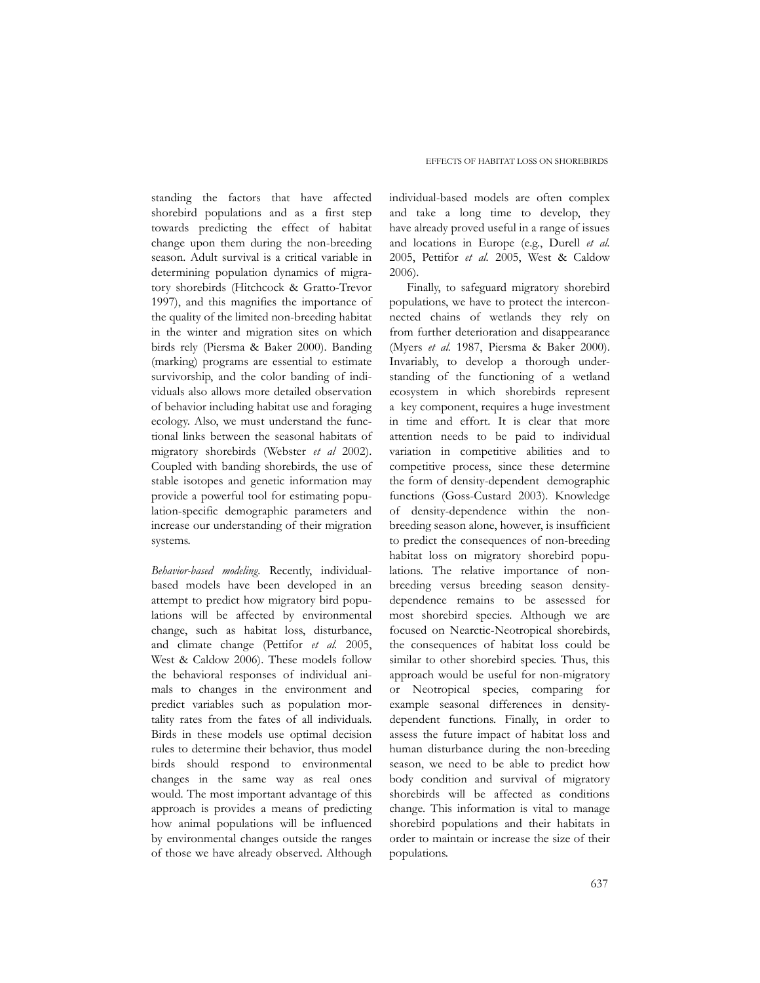standing the factors that have affected shorebird populations and as a first step towards predicting the effect of habitat change upon them during the non-breeding season. Adult survival is a critical variable in determining population dynamics of migratory shorebirds (Hitchcock & Gratto-Trevor 1997), and this magnifies the importance of the quality of the limited non-breeding habitat in the winter and migration sites on which birds rely (Piersma & Baker 2000). Banding (marking) programs are essential to estimate survivorship, and the color banding of individuals also allows more detailed observation of behavior including habitat use and foraging ecology. Also, we must understand the functional links between the seasonal habitats of migratory shorebirds (Webster *et al* 2002). Coupled with banding shorebirds, the use of stable isotopes and genetic information may provide a powerful tool for estimating population-specific demographic parameters and increase our understanding of their migration systems.

*Behavior-based modeling.* Recently, individualbased models have been developed in an attempt to predict how migratory bird populations will be affected by environmental change, such as habitat loss, disturbance, and climate change (Pettifor *et al.* 2005, West & Caldow 2006). These models follow the behavioral responses of individual animals to changes in the environment and predict variables such as population mortality rates from the fates of all individuals. Birds in these models use optimal decision rules to determine their behavior, thus model birds should respond to environmental changes in the same way as real ones would. The most important advantage of this approach is provides a means of predicting how animal populations will be influenced by environmental changes outside the ranges of those we have already observed. Although individual-based models are often complex and take a long time to develop, they have already proved useful in a range of issues and locations in Europe (e.g., Durell *et al.* 2005, Pettifor *et al.* 2005, West & Caldow 2006).

Finally, to safeguard migratory shorebird populations, we have to protect the interconnected chains of wetlands they rely on from further deterioration and disappearance (Myers *et al.* 1987, Piersma & Baker 2000). Invariably, to develop a thorough understanding of the functioning of a wetland ecosystem in which shorebirds represent a key component, requires a huge investment in time and effort. It is clear that more attention needs to be paid to individual variation in competitive abilities and to competitive process, since these determine the form of density-dependent demographic functions (Goss-Custard 2003). Knowledge of density-dependence within the nonbreeding season alone, however, is insufficient to predict the consequences of non-breeding habitat loss on migratory shorebird populations. The relative importance of nonbreeding versus breeding season densitydependence remains to be assessed for most shorebird species. Although we are focused on Nearctic-Neotropical shorebirds, the consequences of habitat loss could be similar to other shorebird species. Thus, this approach would be useful for non-migratory or Neotropical species, comparing for example seasonal differences in densitydependent functions. Finally, in order to assess the future impact of habitat loss and human disturbance during the non-breeding season, we need to be able to predict how body condition and survival of migratory shorebirds will be affected as conditions change. This information is vital to manage shorebird populations and their habitats in order to maintain or increase the size of their populations.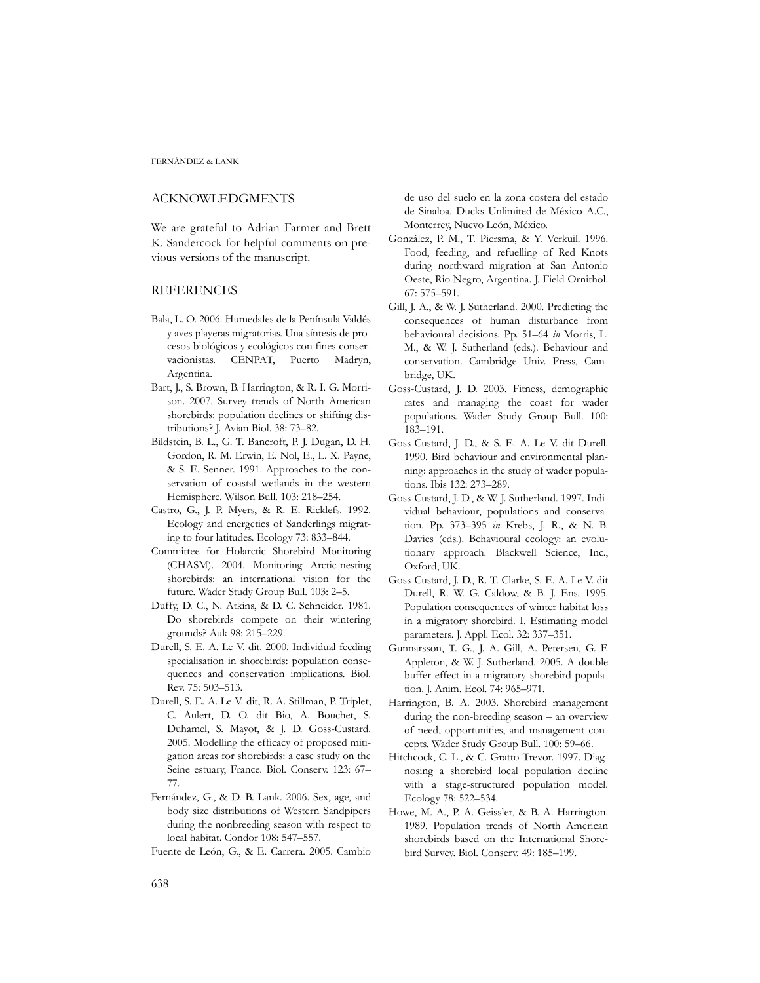FERNÁNDEZ & LANK

### ACKNOWLEDGMENTS

We are grateful to Adrian Farmer and Brett K. Sandercock for helpful comments on previous versions of the manuscript.

### **REFERENCES**

- Bala, L. O. 2006. Humedales de la Península Valdés y aves playeras migratorias. Una síntesis de procesos biológicos y ecológicos con fines conservacionistas. CENPAT, Puerto Madryn, Argentina.
- Bart, J., S. Brown, B. Harrington, & R. I. G. Morrison. 2007. Survey trends of North American shorebirds: population declines or shifting distributions? J. Avian Biol. 38: 73–82.
- Bildstein, B. L., G. T. Bancroft, P. J. Dugan, D. H. Gordon, R. M. Erwin, E. Nol, E., L. X. Payne, & S. E. Senner. 1991. Approaches to the conservation of coastal wetlands in the western Hemisphere. Wilson Bull. 103: 218–254.
- Castro, G., J. P. Myers, & R. E. Ricklefs. 1992. Ecology and energetics of Sanderlings migrating to four latitudes. Ecology 73: 833–844.
- Committee for Holarctic Shorebird Monitoring (CHASM). 2004. Monitoring Arctic-nesting shorebirds: an international vision for the future. Wader Study Group Bull. 103: 2–5.
- Duffy, D. C., N. Atkins, & D. C. Schneider. 1981. Do shorebirds compete on their wintering grounds? Auk 98: 215–229.
- Durell, S. E. A. Le V. dit. 2000. Individual feeding specialisation in shorebirds: population consequences and conservation implications. Biol. Rev. 75: 503–513.
- Durell, S. E. A. Le V. dit, R. A. Stillman, P. Triplet, C. Aulert, D. O. dit Bio, A. Bouchet, S. Duhamel, S. Mayot, & J. D. Goss-Custard. 2005. Modelling the efficacy of proposed mitigation areas for shorebirds: a case study on the Seine estuary, France. Biol. Conserv. 123: 67– 77.
- Fernández, G., & D. B. Lank. 2006. Sex, age, and body size distributions of Western Sandpipers during the nonbreeding season with respect to local habitat. Condor 108: 547–557.
- Fuente de León, G., & E. Carrera. 2005. Cambio

de uso del suelo en la zona costera del estado de Sinaloa. Ducks Unlimited de México A.C., Monterrey, Nuevo León, México.

- González, P. M., T. Piersma, & Y. Verkuil. 1996. Food, feeding, and refuelling of Red Knots during northward migration at San Antonio Oeste, Rio Negro, Argentina. J. Field Ornithol. 67: 575–591.
- Gill, J. A., & W. J. Sutherland. 2000. Predicting the consequences of human disturbance from behavioural decisions. Pp. 51–64 *in* Morris, L. M., & W. J. Sutherland (eds.). Behaviour and conservation. Cambridge Univ. Press, Cambridge, UK.
- Goss-Custard, J. D. 2003. Fitness, demographic rates and managing the coast for wader populations. Wader Study Group Bull. 100: 183–191.
- Goss-Custard, J. D., & S. E. A. Le V. dit Durell. 1990. Bird behaviour and environmental planning: approaches in the study of wader populations. Ibis 132: 273–289.
- Goss-Custard, J. D., & W. J. Sutherland. 1997. Individual behaviour, populations and conservation. Pp. 373–395 *in* Krebs, J. R., & N. B. Davies (eds.). Behavioural ecology: an evolutionary approach. Blackwell Science, Inc., Oxford, UK.
- Goss-Custard, J. D., R. T. Clarke, S. E. A. Le V. dit Durell, R. W. G. Caldow, & B. J. Ens. 1995. Population consequences of winter habitat loss in a migratory shorebird. I. Estimating model parameters. J. Appl. Ecol. 32: 337–351.
- Gunnarsson, T. G., J. A. Gill, A. Petersen, G. F. Appleton, & W. J. Sutherland. 2005. A double buffer effect in a migratory shorebird population. J. Anim. Ecol. 74: 965–971.
- Harrington, B. A. 2003. Shorebird management during the non-breeding season – an overview of need, opportunities, and management concepts. Wader Study Group Bull. 100: 59–66.
- Hitchcock, C. L., & C. Gratto-Trevor. 1997. Diagnosing a shorebird local population decline with a stage-structured population model. Ecology 78: 522–534.
- Howe, M. A., P. A. Geissler, & B. A. Harrington. 1989. Population trends of North American shorebirds based on the International Shorebird Survey. Biol. Conserv. 49: 185–199.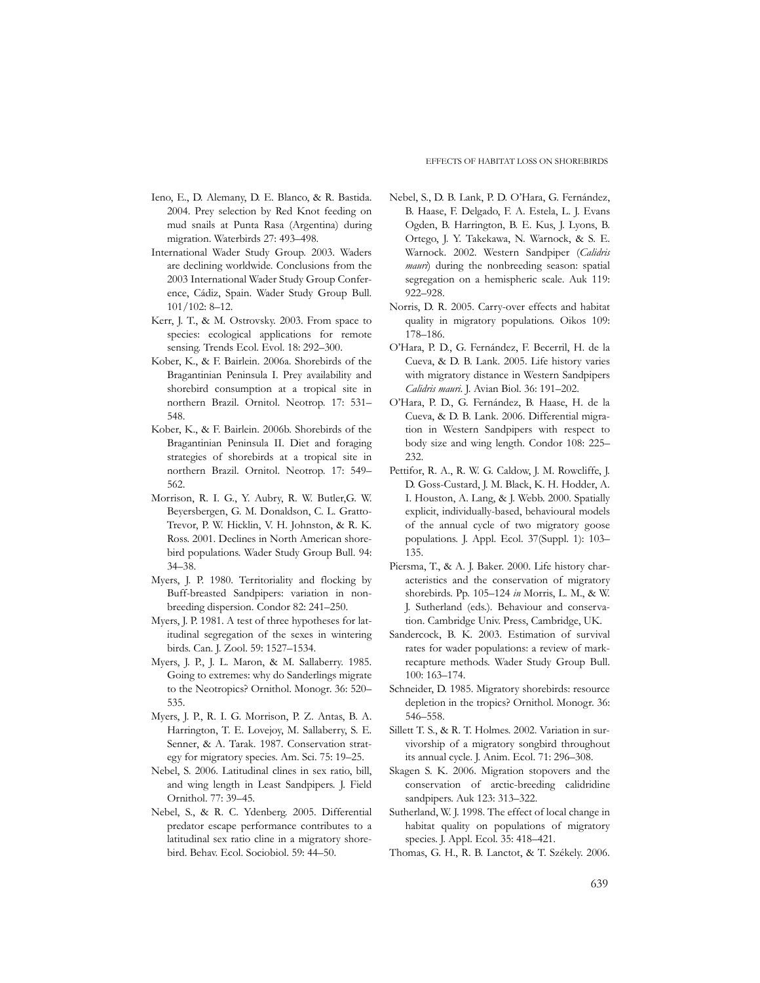- Ieno, E., D. Alemany, D. E. Blanco, & R. Bastida. 2004. Prey selection by Red Knot feeding on mud snails at Punta Rasa (Argentina) during migration. Waterbirds 27: 493–498.
- International Wader Study Group. 2003. Waders are declining worldwide. Conclusions from the 2003 International Wader Study Group Conference, Cádiz, Spain. Wader Study Group Bull. 101/102: 8–12.
- Kerr, J. T., & M. Ostrovsky. 2003. From space to species: ecological applications for remote sensing. Trends Ecol. Evol. 18: 292–300.
- Kober, K., & F. Bairlein. 2006a. Shorebirds of the Bragantinian Peninsula I. Prey availability and shorebird consumption at a tropical site in northern Brazil. Ornitol. Neotrop. 17: 531– 548.
- Kober, K., & F. Bairlein. 2006b. Shorebirds of the Bragantinian Peninsula II. Diet and foraging strategies of shorebirds at a tropical site in northern Brazil. Ornitol. Neotrop. 17: 549– 562.
- Morrison, R. I. G., Y. Aubry, R. W. Butler,G. W. Beyersbergen, G. M. Donaldson, C. L. Gratto-Trevor, P. W. Hicklin, V. H. Johnston, & R. K. Ross. 2001. Declines in North American shorebird populations. Wader Study Group Bull. 94: 34–38.
- Myers, J. P. 1980. Territoriality and flocking by Buff-breasted Sandpipers: variation in nonbreeding dispersion. Condor 82: 241–250.
- Myers, J. P. 1981. A test of three hypotheses for latitudinal segregation of the sexes in wintering birds. Can. J. Zool. 59: 1527–1534.
- Myers, J. P., J. L. Maron, & M. Sallaberry. 1985. Going to extremes: why do Sanderlings migrate to the Neotropics? Ornithol. Monogr. 36: 520– 535.
- Myers, J. P., R. I. G. Morrison, P. Z. Antas, B. A. Harrington, T. E. Lovejoy, M. Sallaberry, S. E. Senner, & A. Tarak. 1987. Conservation strategy for migratory species. Am. Sci. 75: 19–25.
- Nebel, S. 2006. Latitudinal clines in sex ratio, bill, and wing length in Least Sandpipers. J. Field Ornithol. 77: 39–45.
- Nebel, S., & R. C. Ydenberg. 2005. Differential predator escape performance contributes to a latitudinal sex ratio cline in a migratory shorebird. Behav. Ecol. Sociobiol. 59: 44–50.
- Nebel, S., D. B. Lank, P. D. O'Hara, G. Fernández, B. Haase, F. Delgado, F. A. Estela, L. J. Evans Ogden, B. Harrington, B. E. Kus, J. Lyons, B. Ortego, J. Y. Takekawa, N. Warnock, & S. E. Warnock. 2002. Western Sandpiper (*Calidris mauri*) during the nonbreeding season: spatial segregation on a hemispheric scale. Auk 119: 922–928.
- Norris, D. R. 2005. Carry-over effects and habitat quality in migratory populations. Oikos 109: 178–186.
- O'Hara, P. D., G. Fernández, F. Becerril, H. de la Cueva, & D. B. Lank. 2005. Life history varies with migratory distance in Western Sandpipers *Calidris mauri*. J. Avian Biol. 36: 191–202.
- O'Hara, P. D., G. Fernández, B. Haase, H. de la Cueva, & D. B. Lank. 2006. Differential migration in Western Sandpipers with respect to body size and wing length. Condor 108: 225– 232.
- Pettifor, R. A., R. W. G. Caldow, J. M. Rowcliffe, J. D. Goss-Custard, J. M. Black, K. H. Hodder, A. I. Houston, A. Lang, & J. Webb. 2000. Spatially explicit, individually-based, behavioural models of the annual cycle of two migratory goose populations. J. Appl. Ecol. 37(Suppl. 1): 103– 135.
- Piersma, T., & A. J. Baker. 2000. Life history characteristics and the conservation of migratory shorebirds. Pp. 105–124 *in* Morris, L. M., & W. J. Sutherland (eds.). Behaviour and conservation. Cambridge Univ. Press, Cambridge, UK.
- Sandercock, B. K. 2003. Estimation of survival rates for wader populations: a review of markrecapture methods. Wader Study Group Bull. 100: 163–174.
- Schneider, D. 1985. Migratory shorebirds: resource depletion in the tropics? Ornithol. Monogr. 36: 546–558.
- Sillett T. S., & R. T. Holmes. 2002. Variation in survivorship of a migratory songbird throughout its annual cycle. J. Anim. Ecol. 71: 296–308.
- Skagen S. K. 2006. Migration stopovers and the conservation of arctic-breeding calidridine sandpipers. Auk 123: 313–322.
- Sutherland, W. J. 1998. The effect of local change in habitat quality on populations of migratory species. J. Appl. Ecol. 35: 418–421.
- Thomas, G. H., R. B. Lanctot, & T. Székely. 2006.